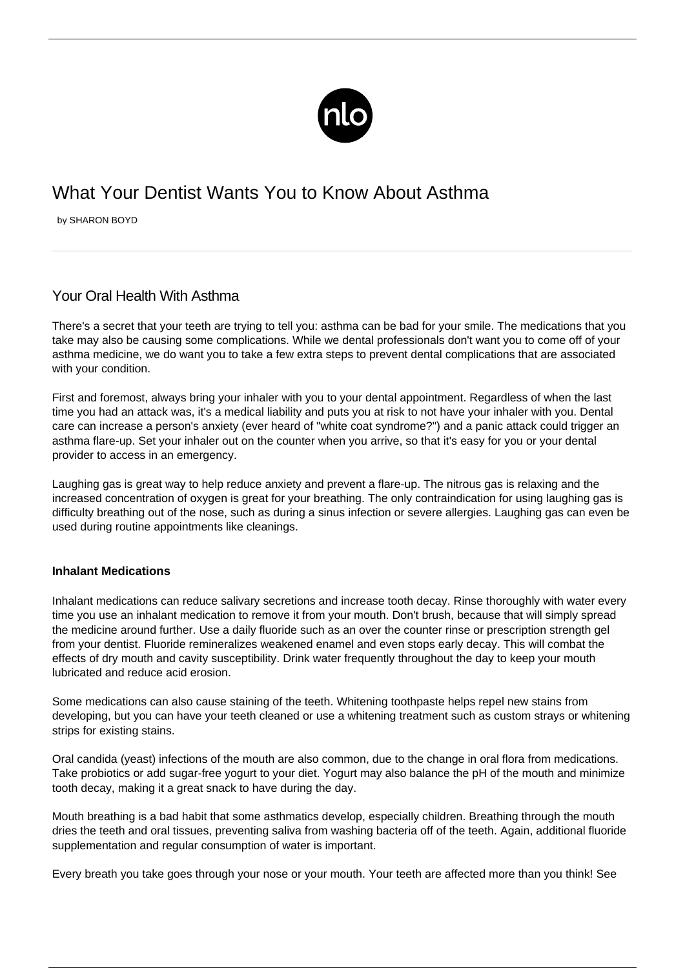

## What Your Dentist Wants You to Know About Asthma

by SHARON BOYD

## Your Oral Health With Asthma

There's a secret that your teeth are trying to tell you: asthma can be bad for your smile. The medications that you take may also be causing some complications. While we dental professionals don't want you to come off of your asthma medicine, we do want you to take a few extra steps to prevent dental complications that are associated with your condition.

First and foremost, always bring your inhaler with you to your dental appointment. Regardless of when the last time you had an attack was, it's a medical liability and puts you at risk to not have your inhaler with you. Dental care can increase a person's anxiety (ever heard of "white coat syndrome?") and a panic attack could trigger an asthma flare-up. Set your inhaler out on the counter when you arrive, so that it's easy for you or your dental provider to access in an emergency.

Laughing gas is great way to help reduce anxiety and prevent a flare-up. The nitrous gas is relaxing and the increased concentration of oxygen is great for your breathing. The only contraindication for using laughing gas is difficulty breathing out of the nose, such as during a sinus infection or severe allergies. Laughing gas can even be used during routine appointments like cleanings.

## **Inhalant Medications**

Inhalant medications can reduce salivary secretions and increase tooth decay. Rinse thoroughly with water every time you use an inhalant medication to remove it from your mouth. Don't brush, because that will simply spread the medicine around further. Use a daily fluoride such as an over the counter rinse or prescription strength gel from your dentist. Fluoride remineralizes weakened enamel and even stops early decay. This will combat the effects of dry mouth and cavity susceptibility. Drink water frequently throughout the day to keep your mouth lubricated and reduce acid erosion.

Some medications can also cause staining of the teeth. Whitening toothpaste helps repel new stains from developing, but you can have your teeth cleaned or use a whitening treatment such as custom strays or whitening strips for existing stains.

Oral candida (yeast) infections of the mouth are also common, due to the change in oral flora from medications. Take probiotics or add sugar-free yogurt to your diet. Yogurt may also balance the pH of the mouth and minimize tooth decay, making it a great snack to have during the day.

Mouth breathing is a bad habit that some asthmatics develop, especially children. Breathing through the mouth dries the teeth and oral tissues, preventing saliva from washing bacteria off of the teeth. Again, additional fluoride supplementation and regular consumption of water is important.

Every breath you take goes through your nose or your mouth. Your teeth are affected more than you think! See